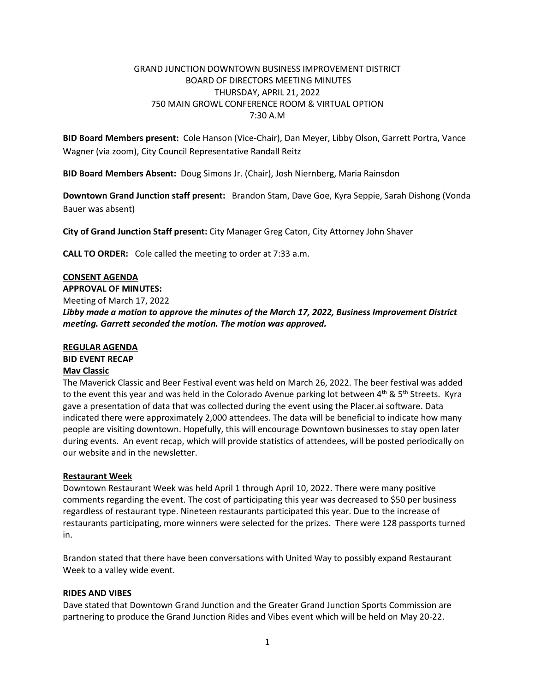# GRAND JUNCTION DOWNTOWN BUSINESS IMPROVEMENT DISTRICT BOARD OF DIRECTORS MEETING MINUTES THURSDAY, APRIL 21, 2022 750 MAIN GROWL CONFERENCE ROOM & VIRTUAL OPTION 7:30 A.M

**BID Board Members present:** Cole Hanson (Vice-Chair), Dan Meyer, Libby Olson, Garrett Portra, Vance Wagner (via zoom), City Council Representative Randall Reitz

**BID Board Members Absent:** Doug Simons Jr. (Chair), Josh Niernberg, Maria Rainsdon

**Downtown Grand Junction staff present:** Brandon Stam, Dave Goe, Kyra Seppie, Sarah Dishong (Vonda Bauer was absent)

**City of Grand Junction Staff present:** City Manager Greg Caton, City Attorney John Shaver

**CALL TO ORDER:** Cole called the meeting to order at 7:33 a.m.

## **CONSENT AGENDA**

**APPROVAL OF MINUTES:** Meeting of March 17, 2022 *Libby made a motion to approve the minutes of the March 17, 2022, Business Improvement District meeting. Garrett seconded the motion. The motion was approved.*

# **REGULAR AGENDA BID EVENT RECAP Mav Classic**

The Maverick Classic and Beer Festival event was held on March 26, 2022. The beer festival was added to the event this year and was held in the Colorado Avenue parking lot between 4<sup>th</sup> & 5<sup>th</sup> Streets. Kyra gave a presentation of data that was collected during the event using the Placer.ai software. Data indicated there were approximately 2,000 attendees. The data will be beneficial to indicate how many people are visiting downtown. Hopefully, this will encourage Downtown businesses to stay open later during events. An event recap, which will provide statistics of attendees, will be posted periodically on our website and in the newsletter.

# **Restaurant Week**

Downtown Restaurant Week was held April 1 through April 10, 2022. There were many positive comments regarding the event. The cost of participating this year was decreased to \$50 per business regardless of restaurant type. Nineteen restaurants participated this year. Due to the increase of restaurants participating, more winners were selected for the prizes. There were 128 passports turned in.

Brandon stated that there have been conversations with United Way to possibly expand Restaurant Week to a valley wide event.

#### **RIDES AND VIBES**

Dave stated that Downtown Grand Junction and the Greater Grand Junction Sports Commission are partnering to produce the Grand Junction Rides and Vibes event which will be held on May 20-22.